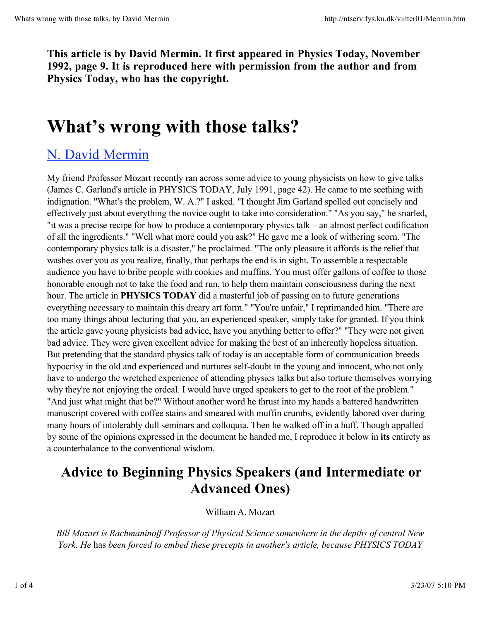**This article is by David Mermin. It first appeared in Physics Today, November 1992, page 9. It is reproduced here with permission from the author and from Physics Today, who has the copyright.**

## **What's wrong with those talks?**

## N. David Mermin

My friend Professor Mozart recently ran across some advice to young physicists on how to give talks (James C. Garland's article in PHYSICS TODAY, July 1991, page 42). He came to me seething with indignation. "What's the problem, W. A.?" I asked. "I thought Jim Garland spelled out concisely and effectively just about everything the novice ought to take into consideration." "As you say," he snarled, "it was a precise recipe for how to produce a contemporary physics talk – an almost perfect codification of all the ingredients." "Well what more could you ask?" He gave me a look of withering scorn. "The contemporary physics talk is a disaster," he proclaimed. "The only pleasure it affords is the relief that washes over you as you realize, finally, that perhaps the end is in sight. To assemble a respectable audience you have to bribe people with cookies and muffins. You must offer gallons of coffee to those honorable enough not to take the food and run, to help them maintain consciousness during the next hour. The article in **PHYSICS TODAY** did a masterful job of passing on to future generations everything necessary to maintain this dreary art form." "You're unfair," I reprimanded him. "There are too many things about lecturing that you, an experienced speaker, simply take for granted. If you think the article gave young physicists bad advice, have you anything better to offer?" "They were not given bad advice. They were given excellent advice for making the best of an inherently hopeless situation. But pretending that the standard physics talk of today is an acceptable form of communication breeds hypocrisy in the old and experienced and nurtures self-doubt in the young and innocent, who not only have to undergo the wretched experience of attending physics talks but also torture themselves worrying why they're not enjoying the ordeal. I would have urged speakers to get to the root of the problem." "And just what might that be?" Without another word he thrust into my hands a battered handwritten manuscript covered with coffee stains and smeared with muffin crumbs, evidently labored over during many hours of intolerably dull seminars and colloquia. Then he walked off in a huff. Though appalled by some of the opinions expressed in the document he handed me, I reproduce it below in **its** entirety as a counterbalance to the conventional wisdom.

## **Advice to Beginning Physics Speakers (and Intermediate or Advanced Ones)**

William A. Mozart

*Bill Mozart is Rachmaninoff Professor of Physical Science somewhere in the depths of central New York. He* has *been forced to embed these precepts in another's article, because PHYSICS TODAY*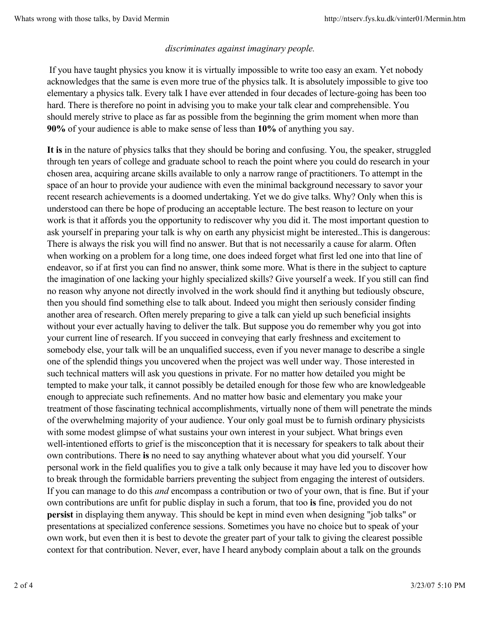## *discriminates against imaginary people.*

 If you have taught physics you know it is virtually impossible to write too easy an exam. Yet nobody acknowledges that the same is even more true of the physics talk. It is absolutely impossible to give too elementary a physics talk. Every talk I have ever attended in four decades of lecture-going has been too hard. There is therefore no point in advising you to make your talk clear and comprehensible. You should merely strive to place as far as possible from the beginning the grim moment when more than **90%** of your audience is able to make sense of less than **10%** of anything you say.

**It is** in the nature of physics talks that they should be boring and confusing. You, the speaker, struggled through ten years of college and graduate school to reach the point where you could do research in your chosen area, acquiring arcane skills available to only a narrow range of practitioners. To attempt in the space of an hour to provide your audience with even the minimal background necessary to savor your recent research achievements is a doomed undertaking. Yet we do give talks. Why? Only when this is understood can there be hope of producing an acceptable lecture. The best reason to lecture on your work is that it affords you the opportunity to rediscover why you did it. The most important question to ask yourself in preparing your talk is why on earth any physicist might be interested..This is dangerous: There is always the risk you will find no answer. But that is not necessarily a cause for alarm. Often when working on a problem for a long time, one does indeed forget what first led one into that line of endeavor, so if at first you can find no answer, think some more. What is there in the subject to capture the imagination of one lacking your highly specialized skills? Give yourself a week. If you still can find no reason why anyone not directly involved in the work should find it anything but tediously obscure, then you should find something else to talk about. Indeed you might then seriously consider finding another area of research. Often merely preparing to give a talk can yield up such beneficial insights without your ever actually having to deliver the talk. But suppose you do remember why you got into your current line of research. If you succeed in conveying that early freshness and excitement to somebody else, your talk will be an unqualified success, even if you never manage to describe a single one of the splendid things you uncovered when the project was well under way. Those interested in such technical matters will ask you questions in private. For no matter how detailed you might be tempted to make your talk, it cannot possibly be detailed enough for those few who are knowledgeable enough to appreciate such refinements. And no matter how basic and elementary you make your treatment of those fascinating technical accomplishments, virtually none of them will penetrate the minds of the overwhelming majority of your audience. Your only goal must be to furnish ordinary physicists with some modest glimpse of what sustains your own interest in your subject. What brings even well-intentioned efforts to grief is the misconception that it is necessary for speakers to talk about their own contributions. There **is** no need to say anything whatever about what you did yourself. Your personal work in the field qualifies you to give a talk only because it may have led you to discover how to break through the formidable barriers preventing the subject from engaging the interest of outsiders. If you can manage to do this *and* encompass a contribution or two of your own, that is fine. But if your own contributions are unfit for public display in such a forum, that too **is** fine, provided you do not **persist** in displaying them anyway. This should be kept in mind even when designing "job talks" or presentations at specialized conference sessions. Sometimes you have no choice but to speak of your own work, but even then it is best to devote the greater part of your talk to giving the clearest possible context for that contribution. Never, ever, have I heard anybody complain about a talk on the grounds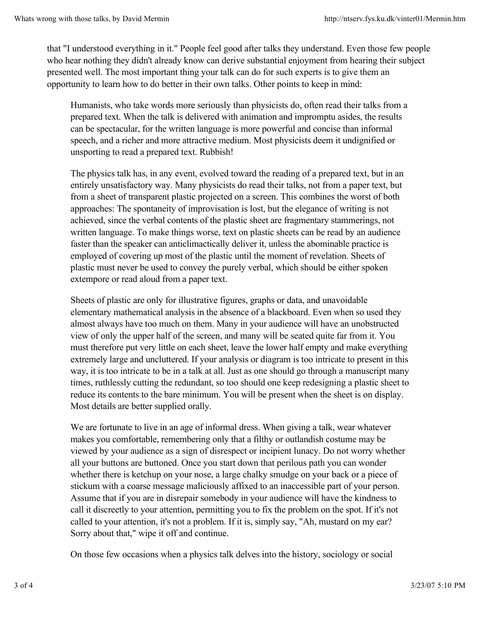that "I understood everything in it." People feel good after talks they understand. Even those few people who hear nothing they didn't already know can derive substantial enjoyment from hearing their subject presented well. The most important thing your talk can do for such experts is to give them an opportunity to learn how to do better in their own talks. Other points to keep in mind:

Humanists, who take words more seriously than physicists do, often read their talks from a prepared text. When the talk is delivered with animation and impromptu asides, the results can be spectacular, for the written language is more powerful and concise than informal speech, and a richer and more attractive medium. Most physicists deem it undignified or unsporting to read a prepared text. Rubbish!

The physics talk has, in any event, evolved toward the reading of a prepared text, but in an entirely unsatisfactory way. Many physicists do read their talks, not from a paper text, but from a sheet of transparent plastic projected on a screen. This combines the worst of both approaches: The spontaneity of improvisation is lost, but the elegance of writing is not achieved, since the verbal contents of the plastic sheet are fragmentary stammerings, not written language. To make things worse, text on plastic sheets can be read by an audience faster than the speaker can anticlimactically deliver it, unless the abominable practice is employed of covering up most of the plastic until the moment of revelation. Sheets of plastic must never be used to convey the purely verbal, which should be either spoken extempore or read aloud from a paper text.

Sheets of plastic are only for illustrative figures, graphs or data, and unavoidable elementary mathematical analysis in the absence of a blackboard. Even when so used they almost always have too much on them. Many in your audience will have an unobstructed view of only the upper half of the screen, and many will be seated quite far from it. You must therefore put very little on each sheet, leave the lower half empty and make everything extremely large and uncluttered. If your analysis or diagram is too intricate to present in this way, it is too intricate to be in a talk at all. Just as one should go through a manuscript many times, ruthlessly cutting the redundant, so too should one keep redesigning a plastic sheet to reduce its contents to the bare minimum. You will be present when the sheet is on display. Most details are better supplied orally.

We are fortunate to live in an age of informal dress. When giving a talk, wear whatever makes you comfortable, remembering only that a filthy or outlandish costume may be viewed by your audience as a sign of disrespect or incipient lunacy. Do not worry whether all your buttons are buttoned. Once you start down that perilous path you can wonder whether there is ketchup on your nose, a large chalky smudge on your back or a piece of stickum with a coarse message maliciously affixed to an inaccessible part of your person. Assume that if you are in disrepair somebody in your audience will have the kindness to call it discreetly to your attention, permitting you to fix the problem on the spot. If it's not called to your attention, it's not a problem. If it is, simply say, "Ah, mustard on my ear? Sorry about that," wipe it off and continue.

On those few occasions when a physics talk delves into the history, sociology or social